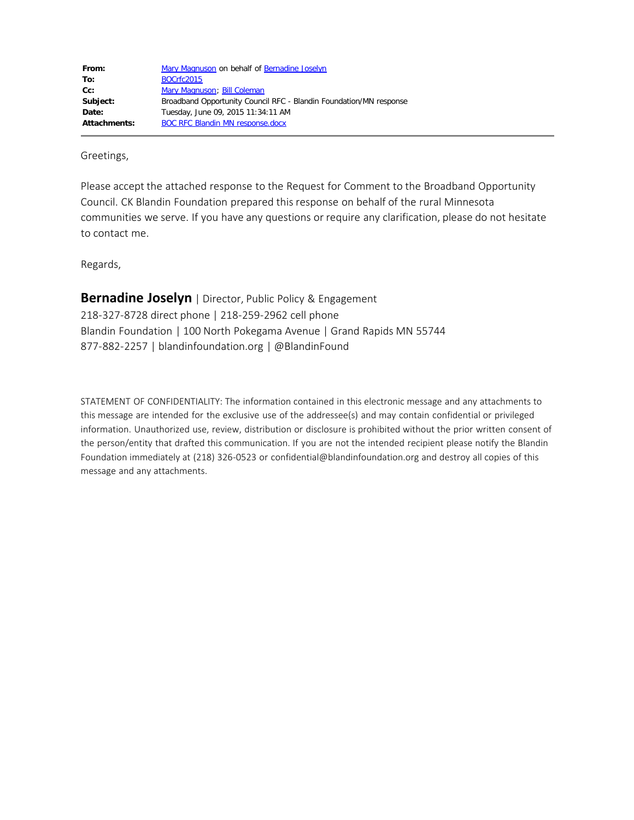| Mary Magnuson on behalf of Bernadine Joselyn                       |
|--------------------------------------------------------------------|
| BOCrfc2015                                                         |
| Mary Magnuson; Bill Coleman                                        |
| Broadband Opportunity Council RFC - Blandin Foundation/MN response |
| Tuesday, June 09, 2015 11:34:11 AM                                 |
| <b>BOC RFC Blandin MN response.docx</b>                            |
|                                                                    |

Greetings,

Please accept the attached response to the Request for Comment to the Broadband Opportunity Council. CK Blandin Foundation prepared this response on behalf of the rural Minnesota communities we serve. If you have any questions or require any clarification, please do not hesitate to contact me.

Regards,

**Bernadine Joselyn** | Director, Public Policy & Engagement 218-327-8728 direct phone | 218-259-2962 cell phone Blandin Foundation | 100 North Pokegama Avenue | Grand Rapids MN 55744 877-882-2257 | blandinfoundation.org | @BlandinFound

STATEMENT OF CONFIDENTIALITY: The information contained in this electronic message and any attachments to this message are intended for the exclusive use of the addressee(s) and may contain confidential or privileged information. Unauthorized use, review, distribution or disclosure is prohibited without the prior written consent of the person/entity that drafted this communication. If you are not the intended recipient please notify the Blandin Foundation immediately at (218) 326-0523 or confidential@blandinfoundation.org and destroy all copies of this message and any attachments.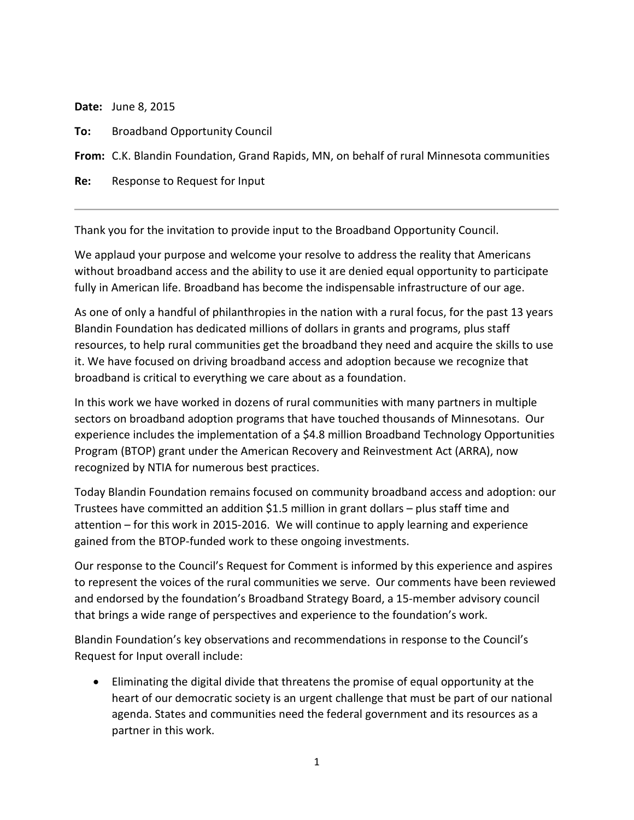**Date:** June 8, 2015

**To:** Broadband Opportunity Council

**From:** C.K. Blandin Foundation, Grand Rapids, MN, on behalf of rural Minnesota communities

**Re:** Response to Request for Input

Thank you for the invitation to provide input to the Broadband Opportunity Council.

We applaud your purpose and welcome your resolve to address the reality that Americans without broadband access and the ability to use it are denied equal opportunity to participate fully in American life. Broadband has become the indispensable infrastructure of our age.

As one of only a handful of philanthropies in the nation with a rural focus, for the past 13 years Blandin Foundation has dedicated millions of dollars in grants and programs, plus staff resources, to help rural communities get the broadband they need and acquire the skills to use it. We have focused on driving broadband access and adoption because we recognize that broadband is critical to everything we care about as a foundation.

In this work we have worked in dozens of rural communities with many partners in multiple sectors on broadband adoption programs that have touched thousands of Minnesotans. Our experience includes the implementation of a \$4.8 million Broadband Technology Opportunities Program (BTOP) grant under the American Recovery and Reinvestment Act (ARRA), now recognized by NTIA for numerous best practices.

Today Blandin Foundation remains focused on community broadband access and adoption: our Trustees have committed an addition \$1.5 million in grant dollars – plus staff time and attention – for this work in 2015-2016. We will continue to apply learning and experience gained from the BTOP-funded work to these ongoing investments.

Our response to the Council's Request for Comment is informed by this experience and aspires to represent the voices of the rural communities we serve. Our comments have been reviewed and endorsed by the foundation's Broadband Strategy Board, a 15-member advisory council that brings a wide range of perspectives and experience to the foundation's work.

Blandin Foundation's key observations and recommendations in response to the Council's Request for Input overall include:

• Eliminating the digital divide that threatens the promise of equal opportunity at the heart of our democratic society is an urgent challenge that must be part of our national agenda. States and communities need the federal government and its resources as a partner in this work.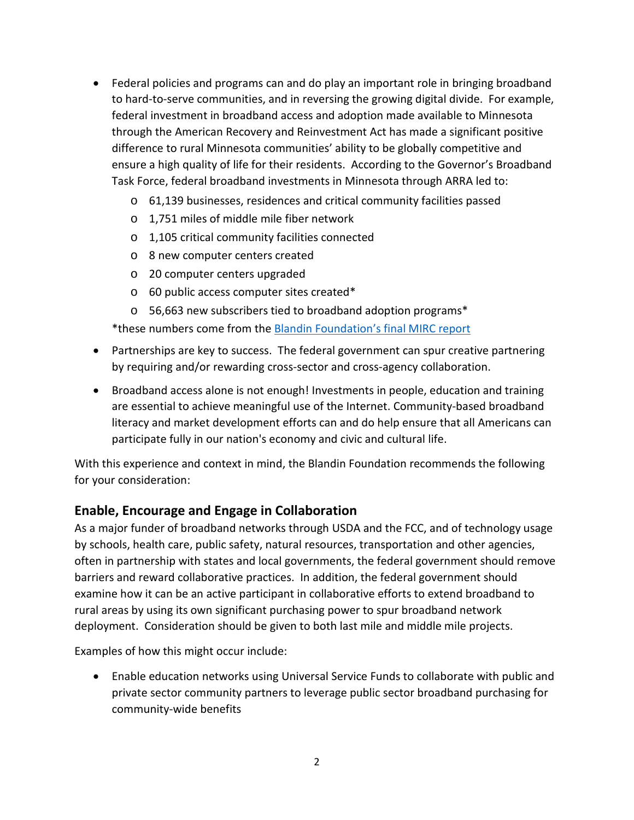- Federal policies and programs can and do play an important role in bringing broadband to hard-to-serve communities, and in reversing the growing digital divide. For example, federal investment in broadband access and adoption made available to Minnesota through the American Recovery and Reinvestment Act has made a significant positive difference to rural Minnesota communities' ability to be globally competitive and ensure a high quality of life for their residents. According to the Governor's Broadband Task Force, federal broadband investments in Minnesota through ARRA led to:
	- o 61,139 businesses, residences and critical community facilities passed
	- o 1,751 miles of middle mile fiber network
	- o 1,105 critical community facilities connected
	- o 8 new computer centers created
	- o 20 computer centers upgraded
	- o 60 public access computer sites created\*
	- o 56,663 new subscribers tied to broadband adoption programs\*

\*these numbers come from the [Blandin Foundation's final MIRC report](http://blandinfoundation.org/_uls/resources/MIRC_outcomes_overview_June_2013.pdf)

- Partnerships are key to success. The federal government can spur creative partnering by requiring and/or rewarding cross-sector and cross-agency collaboration.
- Broadband access alone is not enough! Investments in people, education and training are essential to achieve meaningful use of the Internet. Community-based broadband literacy and market development efforts can and do help ensure that all Americans can participate fully in our nation's economy and civic and cultural life.

With this experience and context in mind, the Blandin Foundation recommends the following for your consideration:

# **Enable, Encourage and Engage in Collaboration**

As a major funder of broadband networks through USDA and the FCC, and of technology usage by schools, health care, public safety, natural resources, transportation and other agencies, often in partnership with states and local governments, the federal government should remove barriers and reward collaborative practices. In addition, the federal government should examine how it can be an active participant in collaborative efforts to extend broadband to rural areas by using its own significant purchasing power to spur broadband network deployment. Consideration should be given to both last mile and middle mile projects.

Examples of how this might occur include:

• Enable education networks using Universal Service Funds to collaborate with public and private sector community partners to leverage public sector broadband purchasing for community-wide benefits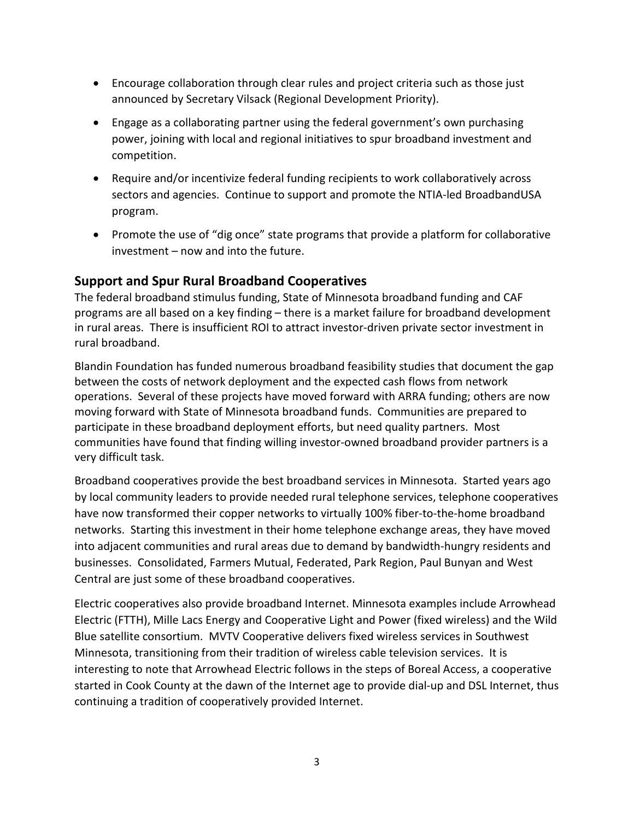- Encourage collaboration through clear rules and project criteria such as those just announced by Secretary Vilsack (Regional Development Priority).
- Engage as a collaborating partner using the federal government's own purchasing power, joining with local and regional initiatives to spur broadband investment and competition.
- Require and/or incentivize federal funding recipients to work collaboratively across sectors and agencies. Continue to support and promote the NTIA-led BroadbandUSA program.
- Promote the use of "dig once" state programs that provide a platform for collaborative investment – now and into the future.

# **Support and Spur Rural Broadband Cooperatives**

The federal broadband stimulus funding, State of Minnesota broadband funding and CAF programs are all based on a key finding – there is a market failure for broadband development in rural areas. There is insufficient ROI to attract investor-driven private sector investment in rural broadband.

Blandin Foundation has funded numerous broadband feasibility studies that document the gap between the costs of network deployment and the expected cash flows from network operations. Several of these projects have moved forward with ARRA funding; others are now moving forward with State of Minnesota broadband funds. Communities are prepared to participate in these broadband deployment efforts, but need quality partners. Most communities have found that finding willing investor-owned broadband provider partners is a very difficult task.

Broadband cooperatives provide the best broadband services in Minnesota. Started years ago by local community leaders to provide needed rural telephone services, telephone cooperatives have now transformed their copper networks to virtually 100% fiber-to-the-home broadband networks. Starting this investment in their home telephone exchange areas, they have moved into adjacent communities and rural areas due to demand by bandwidth-hungry residents and businesses. Consolidated, Farmers Mutual, Federated, Park Region, Paul Bunyan and West Central are just some of these broadband cooperatives.

Electric cooperatives also provide broadband Internet. Minnesota examples include Arrowhead Electric (FTTH), Mille Lacs Energy and Cooperative Light and Power (fixed wireless) and the Wild Blue satellite consortium. MVTV Cooperative delivers fixed wireless services in Southwest Minnesota, transitioning from their tradition of wireless cable television services. It is interesting to note that Arrowhead Electric follows in the steps of Boreal Access, a cooperative started in Cook County at the dawn of the Internet age to provide dial-up and DSL Internet, thus continuing a tradition of cooperatively provided Internet.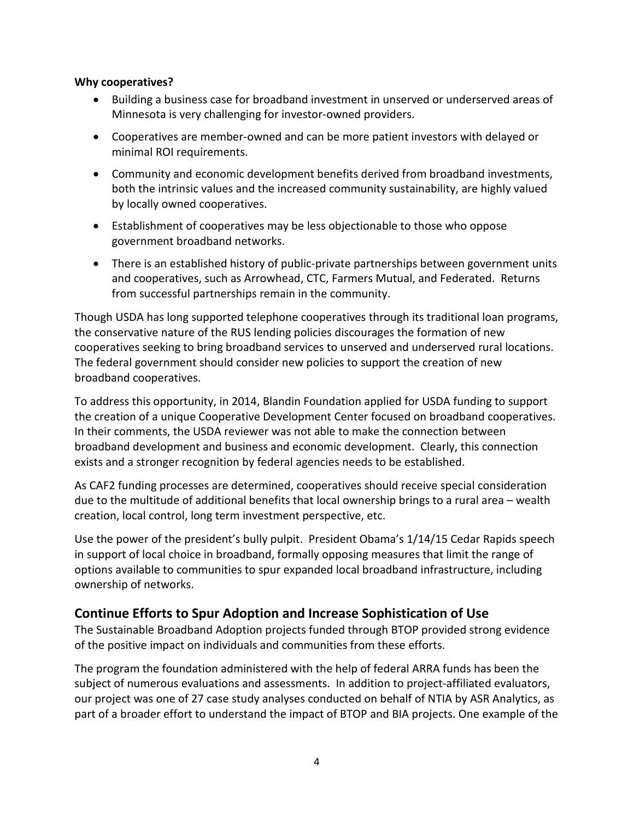#### **Why cooperatives?**

- Building a business case for broadband investment in unserved or underserved areas of Minnesota is very challenging for investor-owned providers.
- Cooperatives are member-owned and can be more patient investors with delayed or minimal ROI requirements.
- Community and economic development benefits derived from broadband investments, both the intrinsic values and the increased community sustainability, are highly valued by locally owned cooperatives.
- Establishment of cooperatives may be less objectionable to those who oppose government broadband networks.
- There is an established history of public-private partnerships between government units and cooperatives, such as Arrowhead, CTC, Farmers Mutual, and Federated. Returns from successful partnerships remain in the community.

Though USDA has long supported telephone cooperatives through its traditional loan programs, the conservative nature of the RUS lending policies discourages the formation of new cooperatives seeking to bring broadband services to unserved and underserved rural locations. The federal government should consider new policies to support the creation of new broadband cooperatives.

To address this opportunity, in 2014, Blandin Foundation applied for USDA funding to support the creation of a unique Cooperative Development Center focused on broadband cooperatives. In their comments, the USDA reviewer was not able to make the connection between broadband development and business and economic development. Clearly, this connection exists and a stronger recognition by federal agencies needs to be established.

As CAF2 funding processes are determined, cooperatives should receive special consideration due to the multitude of additional benefits that local ownership brings to a rural area – wealth creation, local control, long term investment perspective, etc.

Use the power of the president's bully pulpit. President Obama's 1/14/15 Cedar Rapids speech in support of local choice in broadband, formally opposing measures that limit the range of options available to communities to spur expanded local broadband infrastructure, including ownership of networks.

# **Continue Efforts to Spur Adoption and Increase Sophistication of Use**

The Sustainable Broadband Adoption projects funded through BTOP provided strong evidence of the positive impact on individuals and communities from these efforts.

The program the foundation administered with the help of federal ARRA funds has been the subject of numerous evaluations and assessments. In addition to project-affiliated evaluators, our project was one of 27 case study analyses conducted on behalf of NTIA by ASR Analytics, as part of a broader effort to understand the impact of BTOP and BIA projects. One example of the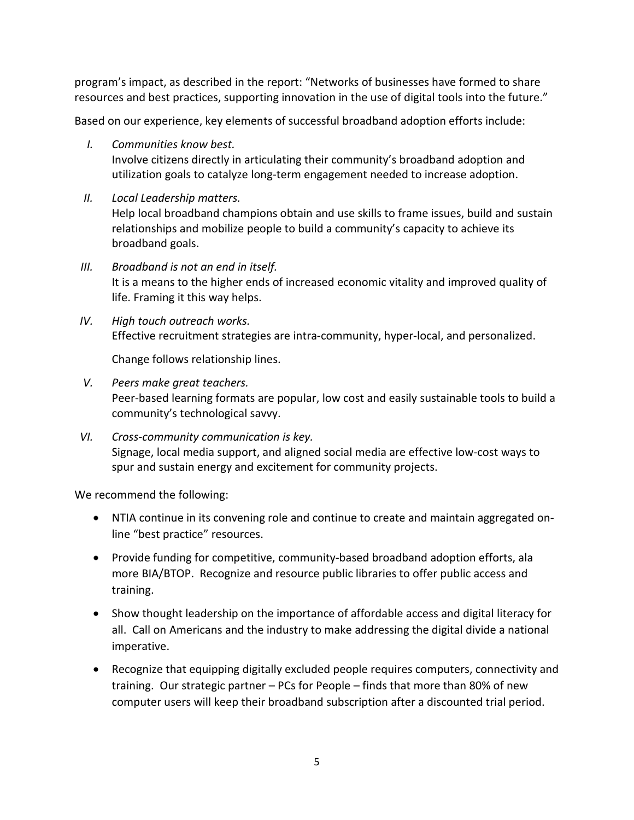program's impact, as described in the report: "Networks of businesses have formed to share resources and best practices, supporting innovation in the use of digital tools into the future."

Based on our experience, key elements of successful broadband adoption efforts include:

*I. Communities know best.* 

Involve citizens directly in articulating their community's broadband adoption and utilization goals to catalyze long-term engagement needed to increase adoption.

*II. Local Leadership matters.*  Help local broadband champions obtain and use skills to frame issues, build and sustain

relationships and mobilize people to build a community's capacity to achieve its broadband goals.

- *III. Broadband is not an end in itself.*  It is a means to the higher ends of increased economic vitality and improved quality of life. Framing it this way helps.
- *IV. High touch outreach works.*  Effective recruitment strategies are intra-community, hyper-local, and personalized.

Change follows relationship lines.

- *V. Peers make great teachers.*  Peer-based learning formats are popular, low cost and easily sustainable tools to build a community's technological savvy.
- *VI. Cross-community communication is key.*  Signage, local media support, and aligned social media are effective low-cost ways to spur and sustain energy and excitement for community projects.

We recommend the following:

- NTIA continue in its convening role and continue to create and maintain aggregated online "best practice" resources.
- Provide funding for competitive, community-based broadband adoption efforts, ala more BIA/BTOP. Recognize and resource public libraries to offer public access and training.
- Show thought leadership on the importance of affordable access and digital literacy for all. Call on Americans and the industry to make addressing the digital divide a national imperative.
- Recognize that equipping digitally excluded people requires computers, connectivity and training. Our strategic partner – PCs for People – finds that more than 80% of new computer users will keep their broadband subscription after a discounted trial period.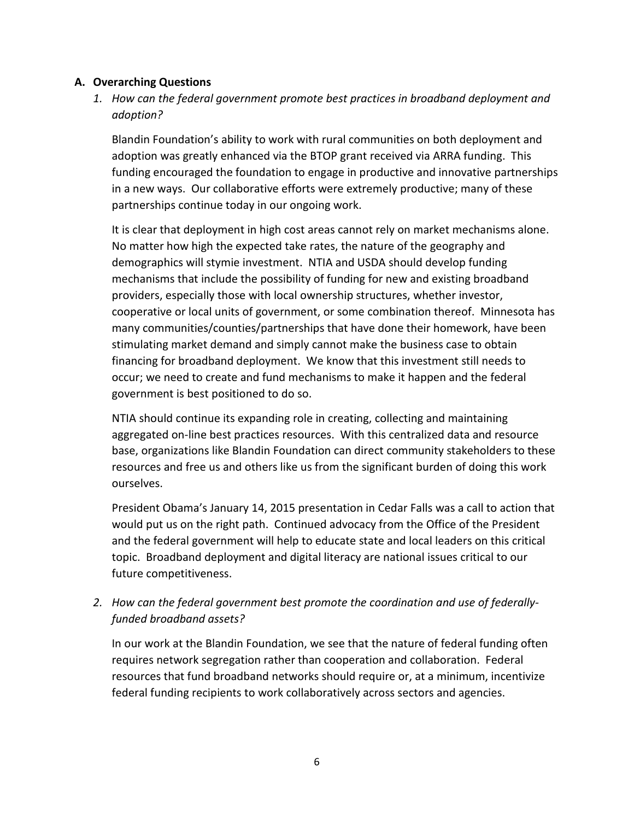### **A. Overarching Questions**

# *1. How can the federal government promote best practices in broadband deployment and adoption?*

Blandin Foundation's ability to work with rural communities on both deployment and adoption was greatly enhanced via the BTOP grant received via ARRA funding. This funding encouraged the foundation to engage in productive and innovative partnerships in a new ways. Our collaborative efforts were extremely productive; many of these partnerships continue today in our ongoing work.

It is clear that deployment in high cost areas cannot rely on market mechanisms alone. No matter how high the expected take rates, the nature of the geography and demographics will stymie investment. NTIA and USDA should develop funding mechanisms that include the possibility of funding for new and existing broadband providers, especially those with local ownership structures, whether investor, cooperative or local units of government, or some combination thereof. Minnesota has many communities/counties/partnerships that have done their homework, have been stimulating market demand and simply cannot make the business case to obtain financing for broadband deployment. We know that this investment still needs to occur; we need to create and fund mechanisms to make it happen and the federal government is best positioned to do so.

NTIA should continue its expanding role in creating, collecting and maintaining aggregated on-line best practices resources. With this centralized data and resource base, organizations like Blandin Foundation can direct community stakeholders to these resources and free us and others like us from the significant burden of doing this work ourselves.

President Obama's January 14, 2015 presentation in Cedar Falls was a call to action that would put us on the right path. Continued advocacy from the Office of the President and the federal government will help to educate state and local leaders on this critical topic. Broadband deployment and digital literacy are national issues critical to our future competitiveness.

*2. How can the federal government best promote the coordination and use of federallyfunded broadband assets?* 

In our work at the Blandin Foundation, we see that the nature of federal funding often requires network segregation rather than cooperation and collaboration. Federal resources that fund broadband networks should require or, at a minimum, incentivize federal funding recipients to work collaboratively across sectors and agencies.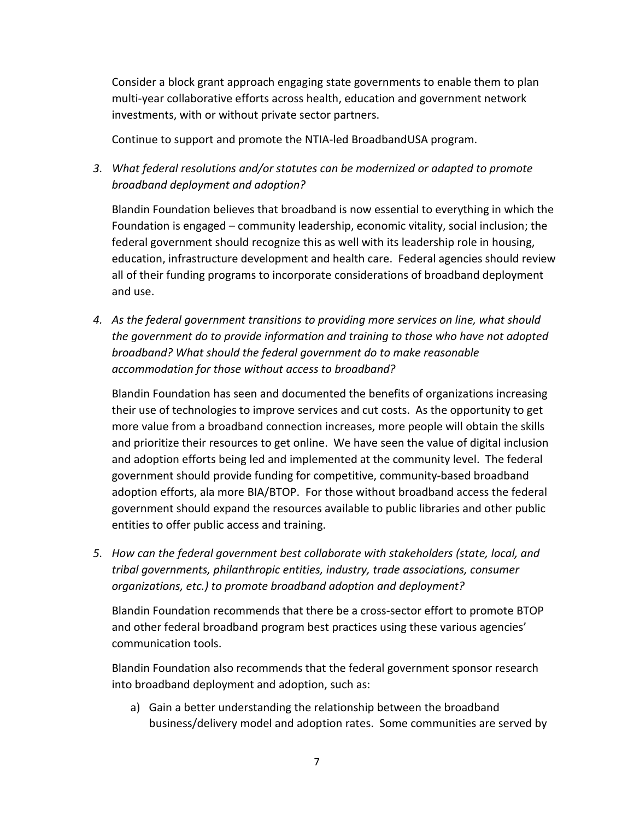Consider a block grant approach engaging state governments to enable them to plan multi-year collaborative efforts across health, education and government network investments, with or without private sector partners.

Continue to support and promote the NTIA-led BroadbandUSA program.

*3. What federal resolutions and/or statutes can be modernized or adapted to promote broadband deployment and adoption?*

Blandin Foundation believes that broadband is now essential to everything in which the Foundation is engaged – community leadership, economic vitality, social inclusion; the federal government should recognize this as well with its leadership role in housing, education, infrastructure development and health care. Federal agencies should review all of their funding programs to incorporate considerations of broadband deployment and use.

*4. As the federal government transitions to providing more services on line, what should the government do to provide information and training to those who have not adopted broadband? What should the federal government do to make reasonable accommodation for those without access to broadband?*

Blandin Foundation has seen and documented the benefits of organizations increasing their use of technologies to improve services and cut costs. As the opportunity to get more value from a broadband connection increases, more people will obtain the skills and prioritize their resources to get online. We have seen the value of digital inclusion and adoption efforts being led and implemented at the community level. The federal government should provide funding for competitive, community-based broadband adoption efforts, ala more BIA/BTOP. For those without broadband access the federal government should expand the resources available to public libraries and other public entities to offer public access and training.

*5. How can the federal government best collaborate with stakeholders (state, local, and tribal governments, philanthropic entities, industry, trade associations, consumer organizations, etc.) to promote broadband adoption and deployment?*

Blandin Foundation recommends that there be a cross-sector effort to promote BTOP and other federal broadband program best practices using these various agencies' communication tools.

Blandin Foundation also recommends that the federal government sponsor research into broadband deployment and adoption, such as:

a) Gain a better understanding the relationship between the broadband business/delivery model and adoption rates. Some communities are served by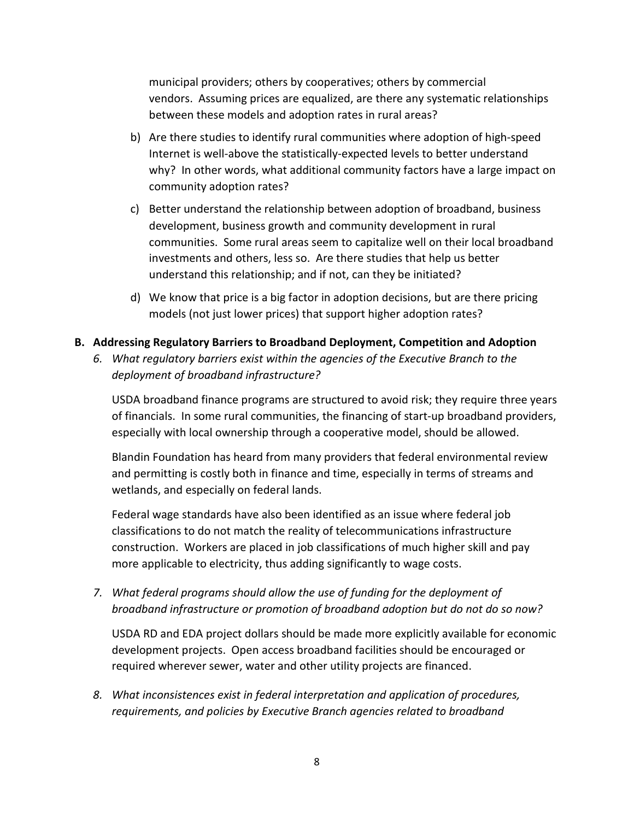municipal providers; others by cooperatives; others by commercial vendors. Assuming prices are equalized, are there any systematic relationships between these models and adoption rates in rural areas?

- b) Are there studies to identify rural communities where adoption of high-speed Internet is well-above the statistically-expected levels to better understand why? In other words, what additional community factors have a large impact on community adoption rates?
- c) Better understand the relationship between adoption of broadband, business development, business growth and community development in rural communities. Some rural areas seem to capitalize well on their local broadband investments and others, less so. Are there studies that help us better understand this relationship; and if not, can they be initiated?
- d) We know that price is a big factor in adoption decisions, but are there pricing models (not just lower prices) that support higher adoption rates?
- **B. Addressing Regulatory Barriers to Broadband Deployment, Competition and Adoption**
	- *6. What regulatory barriers exist within the agencies of the Executive Branch to the deployment of broadband infrastructure?*

USDA broadband finance programs are structured to avoid risk; they require three years of financials. In some rural communities, the financing of start-up broadband providers, especially with local ownership through a cooperative model, should be allowed.

Blandin Foundation has heard from many providers that federal environmental review and permitting is costly both in finance and time, especially in terms of streams and wetlands, and especially on federal lands.

Federal wage standards have also been identified as an issue where federal job classifications to do not match the reality of telecommunications infrastructure construction. Workers are placed in job classifications of much higher skill and pay more applicable to electricity, thus adding significantly to wage costs.

*7. What federal programs should allow the use of funding for the deployment of broadband infrastructure or promotion of broadband adoption but do not do so now?*

USDA RD and EDA project dollars should be made more explicitly available for economic development projects. Open access broadband facilities should be encouraged or required wherever sewer, water and other utility projects are financed.

*8. What inconsistences exist in federal interpretation and application of procedures, requirements, and policies by Executive Branch agencies related to broadband*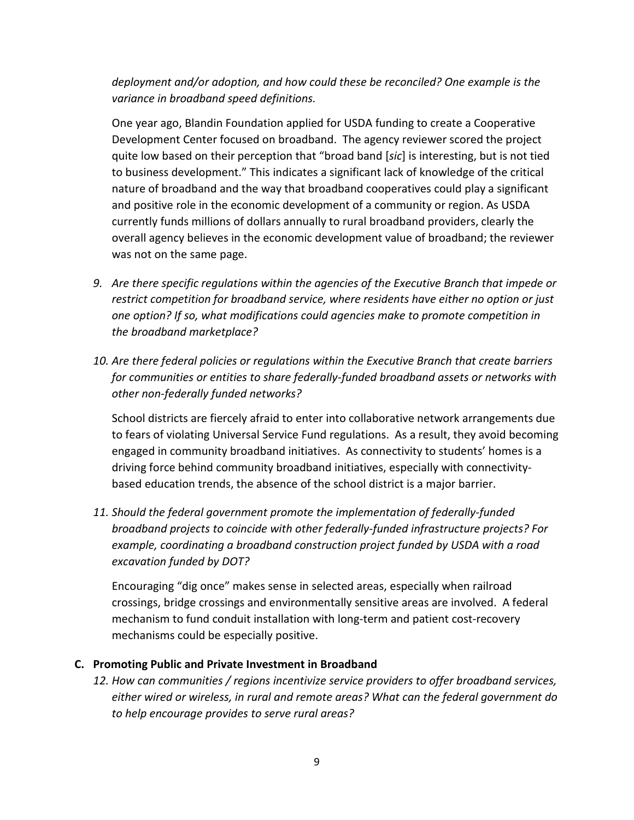# *deployment and/or adoption, and how could these be reconciled? One example is the variance in broadband speed definitions.*

One year ago, Blandin Foundation applied for USDA funding to create a Cooperative Development Center focused on broadband. The agency reviewer scored the project quite low based on their perception that "broad band [*sic*] is interesting, but is not tied to business development." This indicates a significant lack of knowledge of the critical nature of broadband and the way that broadband cooperatives could play a significant and positive role in the economic development of a community or region. As USDA currently funds millions of dollars annually to rural broadband providers, clearly the overall agency believes in the economic development value of broadband; the reviewer was not on the same page.

- *9. Are there specific regulations within the agencies of the Executive Branch that impede or restrict competition for broadband service, where residents have either no option or just one option? If so, what modifications could agencies make to promote competition in the broadband marketplace?*
- *10. Are there federal policies or regulations within the Executive Branch that create barriers for communities or entities to share federally-funded broadband assets or networks with other non-federally funded networks?*

School districts are fiercely afraid to enter into collaborative network arrangements due to fears of violating Universal Service Fund regulations. As a result, they avoid becoming engaged in community broadband initiatives. As connectivity to students' homes is a driving force behind community broadband initiatives, especially with connectivitybased education trends, the absence of the school district is a major barrier.

*11. Should the federal government promote the implementation of federally-funded broadband projects to coincide with other federally-funded infrastructure projects? For example, coordinating a broadband construction project funded by USDA with a road excavation funded by DOT?*

Encouraging "dig once" makes sense in selected areas, especially when railroad crossings, bridge crossings and environmentally sensitive areas are involved. A federal mechanism to fund conduit installation with long-term and patient cost-recovery mechanisms could be especially positive.

#### **C. Promoting Public and Private Investment in Broadband**

*12. How can communities / regions incentivize service providers to offer broadband services, either wired or wireless, in rural and remote areas? What can the federal government do to help encourage provides to serve rural areas?*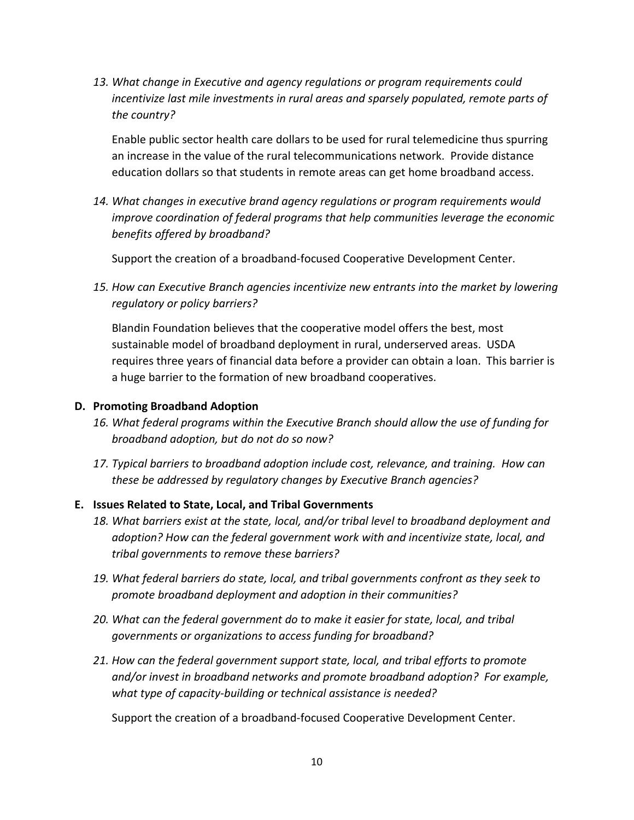*13. What change in Executive and agency regulations or program requirements could incentivize last mile investments in rural areas and sparsely populated, remote parts of the country?*

Enable public sector health care dollars to be used for rural telemedicine thus spurring an increase in the value of the rural telecommunications network. Provide distance education dollars so that students in remote areas can get home broadband access.

*14. What changes in executive brand agency regulations or program requirements would improve coordination of federal programs that help communities leverage the economic benefits offered by broadband?*

Support the creation of a broadband-focused Cooperative Development Center.

*15. How can Executive Branch agencies incentivize new entrants into the market by lowering regulatory or policy barriers?*

Blandin Foundation believes that the cooperative model offers the best, most sustainable model of broadband deployment in rural, underserved areas. USDA requires three years of financial data before a provider can obtain a loan. This barrier is a huge barrier to the formation of new broadband cooperatives.

### **D. Promoting Broadband Adoption**

- *16. What federal programs within the Executive Branch should allow the use of funding for broadband adoption, but do not do so now?*
- *17. Typical barriers to broadband adoption include cost, relevance, and training. How can these be addressed by regulatory changes by Executive Branch agencies?*

## **E. Issues Related to State, Local, and Tribal Governments**

- *18. What barriers exist at the state, local, and/or tribal level to broadband deployment and adoption? How can the federal government work with and incentivize state, local, and tribal governments to remove these barriers?*
- *19. What federal barriers do state, local, and tribal governments confront as they seek to promote broadband deployment and adoption in their communities?*
- 20. What can the federal government do to make it easier for state, local, and tribal *governments or organizations to access funding for broadband?*
- *21. How can the federal government support state, local, and tribal efforts to promote and/or invest in broadband networks and promote broadband adoption? For example, what type of capacity-building or technical assistance is needed?*

Support the creation of a broadband-focused Cooperative Development Center.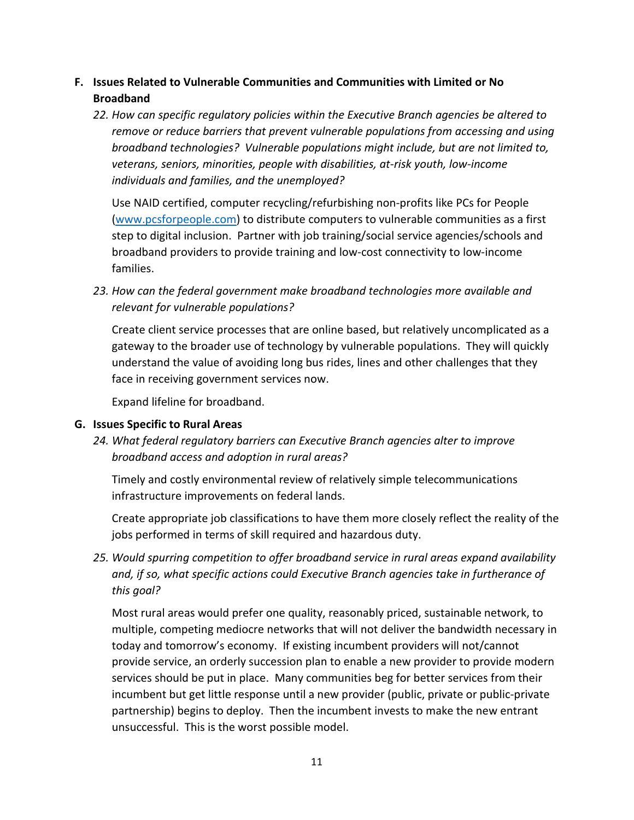# **F. Issues Related to Vulnerable Communities and Communities with Limited or No Broadband**

*22. How can specific regulatory policies within the Executive Branch agencies be altered to remove or reduce barriers that prevent vulnerable populations from accessing and using broadband technologies? Vulnerable populations might include, but are not limited to, veterans, seniors, minorities, people with disabilities, at-risk youth, low-income individuals and families, and the unemployed?*

Use NAID certified, computer recycling/refurbishing non-profits like PCs for People [\(www.pcsforpeople.com\)](http://www.pcsforpeople.com/) to distribute computers to vulnerable communities as a first step to digital inclusion. Partner with job training/social service agencies/schools and broadband providers to provide training and low-cost connectivity to low-income families.

23. How can the federal government make broadband technologies more available and *relevant for vulnerable populations?*

Create client service processes that are online based, but relatively uncomplicated as a gateway to the broader use of technology by vulnerable populations. They will quickly understand the value of avoiding long bus rides, lines and other challenges that they face in receiving government services now.

Expand lifeline for broadband.

## **G. Issues Specific to Rural Areas**

*24. What federal regulatory barriers can Executive Branch agencies alter to improve broadband access and adoption in rural areas?*

Timely and costly environmental review of relatively simple telecommunications infrastructure improvements on federal lands.

Create appropriate job classifications to have them more closely reflect the reality of the jobs performed in terms of skill required and hazardous duty.

*25. Would spurring competition to offer broadband service in rural areas expand availability and, if so, what specific actions could Executive Branch agencies take in furtherance of this goal?*

Most rural areas would prefer one quality, reasonably priced, sustainable network, to multiple, competing mediocre networks that will not deliver the bandwidth necessary in today and tomorrow's economy. If existing incumbent providers will not/cannot provide service, an orderly succession plan to enable a new provider to provide modern services should be put in place. Many communities beg for better services from their incumbent but get little response until a new provider (public, private or public-private partnership) begins to deploy. Then the incumbent invests to make the new entrant unsuccessful. This is the worst possible model.